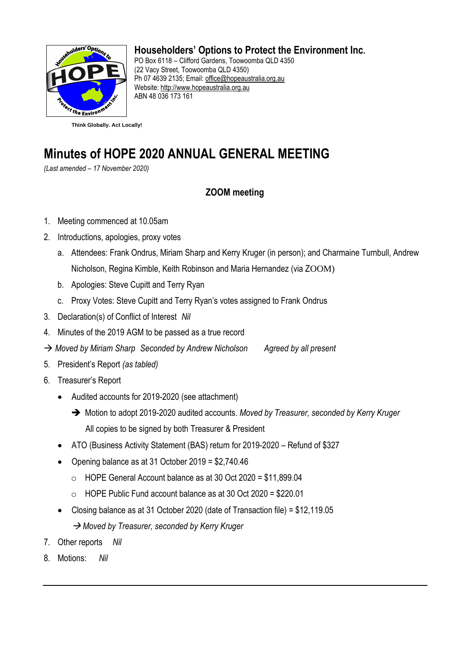

## **Householders' Options to Protect the Environment Inc.**

PO Box 6118 – Clifford Gardens, Toowoomba QLD 4350 (22 Vacy Street, Toowoomba QLD 4350) Ph 07 4639 2135; Email: [office@hopeaustralia.org.au](mailto:office@hopeaustralia.org.au)  Website: [http://www.hopeaustralia.org.au](http://www.hopeaustralia.org.au/) ABN 48 036 173 161

# **Minutes of HOPE 2020 ANNUAL GENERAL MEETING**

*(Last amended – 17 November 2020)*

### **ZOOM meeting**

- 1. Meeting commenced at 10.05am
- 2. Introductions, apologies, proxy votes
	- a. Attendees: Frank Ondrus, Miriam Sharp and Kerry Kruger (in person); and Charmaine Turnbull, Andrew Nicholson, Regina Kimble, Keith Robinson and Maria Hernandez (via ZOOM)
	- b. Apologies: Steve Cupitt and Terry Ryan
	- c. Proxy Votes: Steve Cupitt and Terry Ryan's votes assigned to Frank Ondrus
- 3. Declaration(s) of Conflict of Interest *Nil*
- 4. Minutes of the 2019 AGM to be passed as a true record
- → *Moved by Miriam Sharp Seconded by Andrew Nicholson Agreed by all present*
- 5. President's Report *(as tabled)*
- 6. Treasurer's Report
	- Audited accounts for 2019-2020 (see attachment)
		- ➔ Motion to adopt 2019-2020 audited accounts. *Moved by Treasurer, seconded by Kerry Kruger* All copies to be signed by both Treasurer & President
	- ATO (Business Activity Statement (BAS) return for 2019-2020 Refund of \$327
	- Opening balance as at 31 October 2019 = \$2,740.46
		- o HOPE General Account balance as at 30 Oct 2020 = \$11,899.04
		- o HOPE Public Fund account balance as at 30 Oct 2020 = \$220.01
	- Closing balance as at 31 October 2020 (date of Transaction file) = \$12,119.05 → *Moved by Treasurer, seconded by Kerry Kruger*
- 7. Other reports *Nil*
- 8. Motions: *Nil*